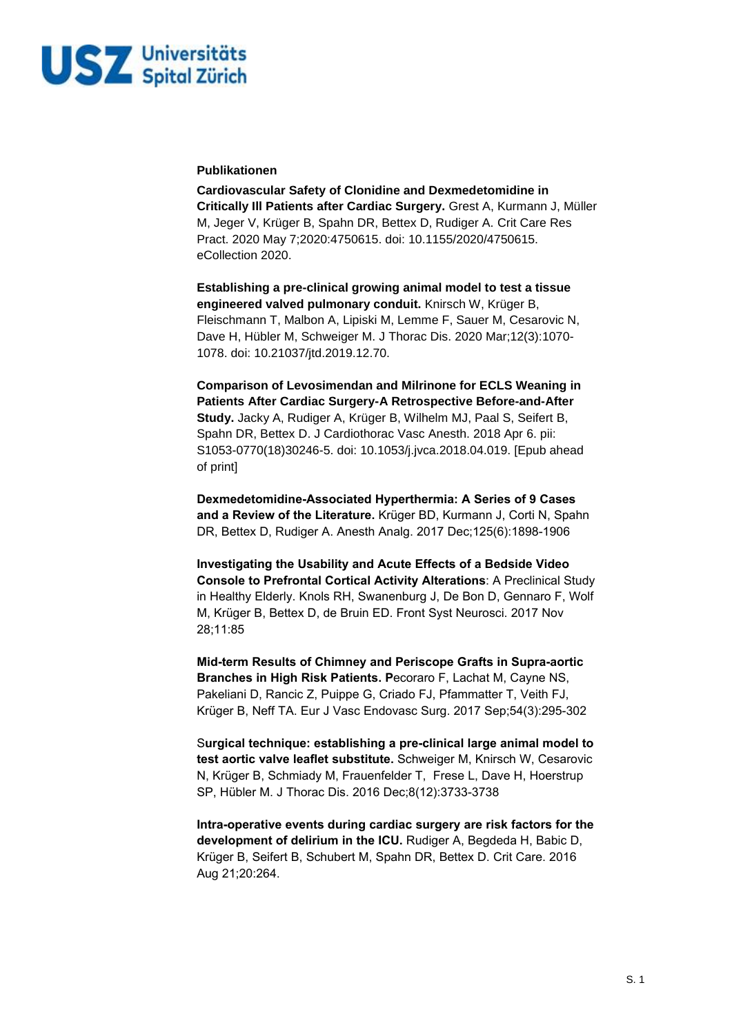

## **Publikationen**

**Cardiovascular Safety of Clonidine and Dexmedetomidine in Critically Ill Patients after Cardiac Surgery.** Grest A, Kurmann J, Müller M, Jeger V, Krüger B, Spahn DR, Bettex D, Rudiger A. Crit Care Res Pract. 2020 May 7;2020:4750615. doi: 10.1155/2020/4750615. eCollection 2020.

**Establishing a pre-clinical growing animal model to test a tissue engineered valved pulmonary conduit.** Knirsch W, Krüger B, Fleischmann T, Malbon A, Lipiski M, Lemme F, Sauer M, Cesarovic N, Dave H, Hübler M, Schweiger M. J Thorac Dis. 2020 Mar;12(3):1070- 1078. doi: 10.21037/jtd.2019.12.70.

**Comparison of Levosimendan and Milrinone for ECLS Weaning in Patients After Cardiac Surgery-A Retrospective Before-and-After Study.** Jacky A, Rudiger A, Krüger B, Wilhelm MJ, Paal S, Seifert B, Spahn DR, Bettex D. J Cardiothorac Vasc Anesth. 2018 Apr 6. pii: S1053-0770(18)30246-5. doi: 10.1053/j.jvca.2018.04.019. [Epub ahead of print]

**Dexmedetomidine-Associated Hyperthermia: A Series of 9 Cases and a Review of the Literature.** Krüger BD, Kurmann J, Corti N, Spahn DR, Bettex D, Rudiger A. Anesth Analg. 2017 Dec;125(6):1898-1906

**Investigating the Usability and Acute Effects of a Bedside Video Console to Prefrontal Cortical Activity Alterations**: A Preclinical Study in Healthy Elderly. Knols RH, Swanenburg J, De Bon D, Gennaro F, Wolf M, Krüger B, Bettex D, de Bruin ED. Front Syst Neurosci. 2017 Nov 28;11:85

**Mid-term Results of Chimney and Periscope Grafts in Supra-aortic Branches in High Risk Patients. P**ecoraro F, Lachat M, Cayne NS, Pakeliani D, Rancic Z, Puippe G, Criado FJ, Pfammatter T, Veith FJ, Krüger B, Neff TA. Eur J Vasc Endovasc Surg. 2017 Sep;54(3):295-302

S**urgical technique: establishing a pre-clinical large animal model to test aortic valve leaflet substitute.** Schweiger M, Knirsch W, Cesarovic N, Krüger B, Schmiady M, Frauenfelder T, Frese L, Dave H, Hoerstrup SP, Hübler M. J Thorac Dis. 2016 Dec;8(12):3733-3738

**Intra-operative events during cardiac surgery are risk factors for the development of delirium in the ICU.** Rudiger A, Begdeda H, Babic D, Krüger B, Seifert B, Schubert M, Spahn DR, Bettex D. Crit Care. 2016 Aug 21;20:264.